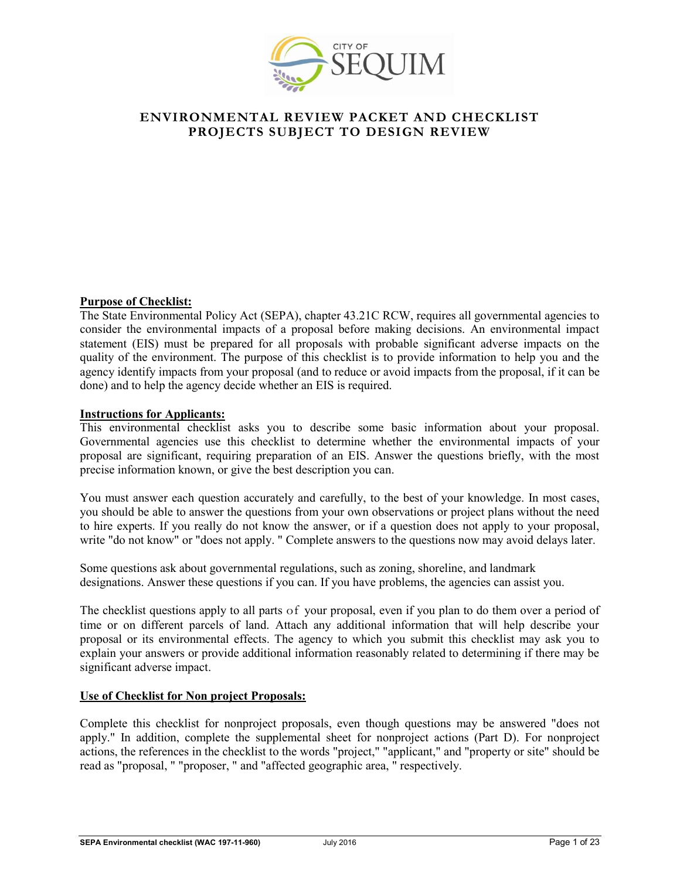

#### **ENVIRONMENTAL REVIEW PACKET AND CHECKLIST PROJECTS SUBJECT TO DESIGN REVIEW**

#### **Purpose of Checklist:**

The State Environmental Policy Act (SEPA), chapter 43.21C RCW, requires all governmental agencies to consider the environmental impacts of a proposal before making decisions. An environmental impact statement (EIS) must be prepared for all proposals with probable significant adverse impacts on the quality of the environment. The purpose of this checklist is to provide information to help you and the agency identify impacts from your proposal (and to reduce or avoid impacts from the proposal, if it can be done) and to help the agency decide whether an EIS is required.

#### **Instructions for Applicants:**

This environmental checklist asks you to describe some basic information about your proposal. Governmental agencies use this checklist to determine whether the environmental impacts of your proposal are significant, requiring preparation of an EIS. Answer the questions briefly, with the most precise information known, or give the best description you can.

You must answer each question accurately and carefully, to the best of your knowledge. In most cases, you should be able to answer the questions from your own observations or project plans without the need to hire experts. If you really do not know the answer, or if a question does not apply to your proposal, write "do not know" or "does not apply. " Complete answers to the questions now may avoid delays later.

Some questions ask about governmental regulations, such as zoning, shoreline, and landmark designations. Answer these questions if you can. If you have problems, the agencies can assist you.

The checklist questions apply to all parts of your proposal, even if you plan to do them over a period of time or on different parcels of land. Attach any additional information that will help describe your proposal or its environmental effects. The agency to which you submit this checklist may ask you to explain your answers or provide additional information reasonably related to determining if there may be significant adverse impact.

#### **Use of Checklist for Non project Proposals:**

Complete this checklist for nonproject proposals, even though questions may be answered "does not apply." In addition, complete the supplemental sheet for nonproject actions (Part D). For nonproject actions, the references in the checklist to the words "project," "applicant," and "property or site" should be read as "proposal, " "proposer, " and "affected geographic area, " respectively.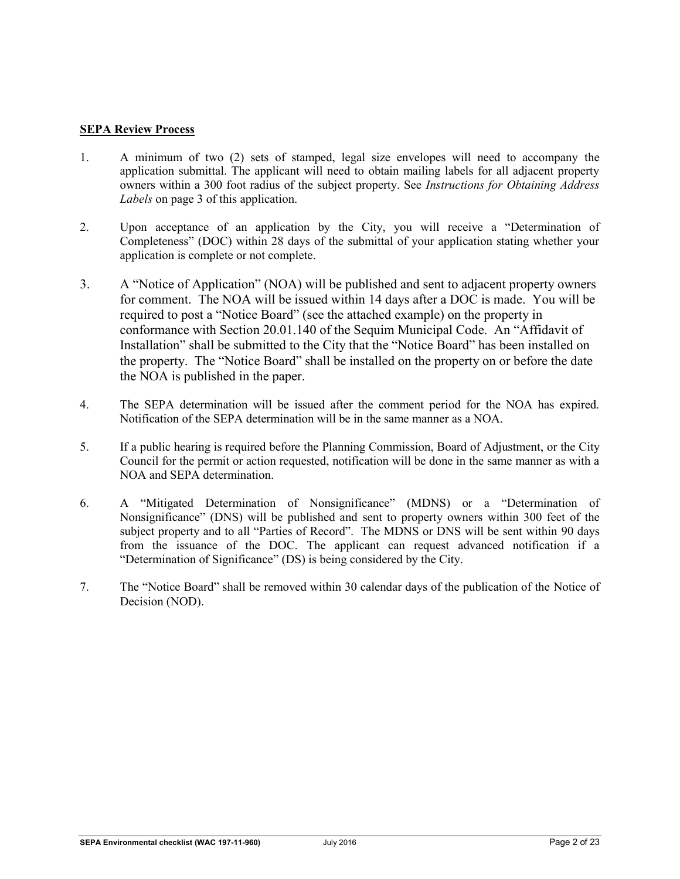#### **SEPA Review Process**

- 1. A minimum of two (2) sets of stamped, legal size envelopes will need to accompany the application submittal. The applicant will need to obtain mailing labels for all adjacent property owners within a 300 foot radius of the subject property. See *Instructions for Obtaining Address Labels* on page 3 of this application.
- 2. Upon acceptance of an application by the City, you will receive a "Determination of Completeness" (DOC) within 28 days of the submittal of your application stating whether your application is complete or not complete.
- 3. A "Notice of Application" (NOA) will be published and sent to adjacent property owners for comment. The NOA will be issued within 14 days after a DOC is made. You will be required to post a "Notice Board" (see the attached example) on the property in conformance with Section 20.01.140 of the Sequim Municipal Code. An "Affidavit of Installation" shall be submitted to the City that the "Notice Board" has been installed on the property. The "Notice Board" shall be installed on the property on or before the date the NOA is published in the paper.
- 4. The SEPA determination will be issued after the comment period for the NOA has expired. Notification of the SEPA determination will be in the same manner as a NOA.
- 5. If a public hearing is required before the Planning Commission, Board of Adjustment, or the City Council for the permit or action requested, notification will be done in the same manner as with a NOA and SEPA determination.
- 6. A "Mitigated Determination of Nonsignificance" (MDNS) or a "Determination of Nonsignificance" (DNS) will be published and sent to property owners within 300 feet of the subject property and to all "Parties of Record". The MDNS or DNS will be sent within 90 days from the issuance of the DOC. The applicant can request advanced notification if a "Determination of Significance" (DS) is being considered by the City.
- 7. The "Notice Board" shall be removed within 30 calendar days of the publication of the Notice of Decision (NOD).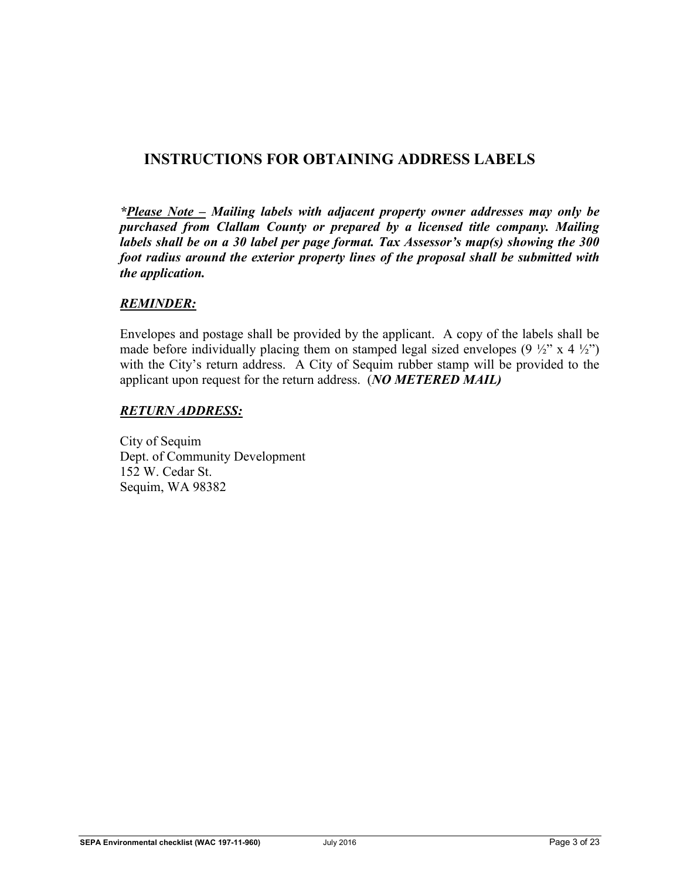## **INSTRUCTIONS FOR OBTAINING ADDRESS LABELS**

*\*Please Note* **±** *Mailing labels with adjacent property owner addresses may only be purchased from Clallam County or prepared by a licensed title company. Mailing labels shall be on a 30 label per page format. Tax Assessor's map(s) showing the 300 foot radius around the exterior property lines of the proposal shall be submitted with the application.* 

#### *REMINDER:*

Envelopes and postage shall be provided by the applicant. A copy of the labels shall be made before individually placing them on stamped legal sized envelopes (9  $\frac{1}{2}$ " x 4  $\frac{1}{2}$ ") with the City's return address. A City of Sequim rubber stamp will be provided to the applicant upon request for the return address. (*NO METERED MAIL)*

#### *RETURN ADDRESS:*

City of Sequim Dept. of Community Development 152 W. Cedar St. Sequim, WA 98382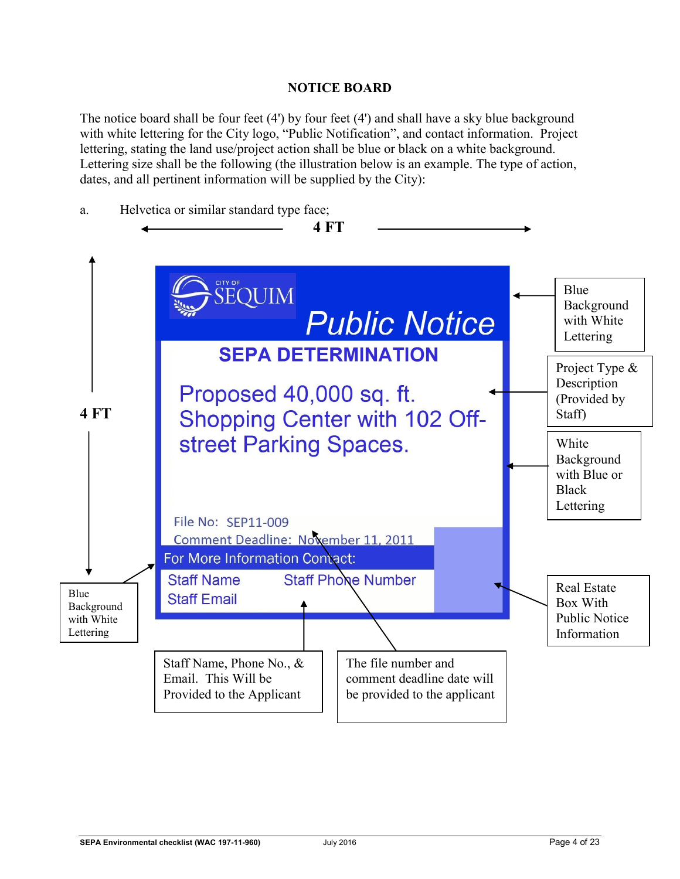### **NOTICE BOARD**

The notice board shall be four feet (4') by four feet (4') and shall have a sky blue background with white lettering for the City logo, "Public Notification", and contact information. Project lettering, stating the land use/project action shall be blue or black on a white background. Lettering size shall be the following (the illustration below is an example. The type of action, dates, and all pertinent information will be supplied by the City):

a. Helvetica or similar standard type face; **4 FT**  Blue **QUIM** Background **Public Notice** with White **Lettering SEPA DETERMINATION** Project Type & Description Proposed 40,000 sq. ft. (Provided by **4 FT Shopping Center with 102 Off-**Staff) street Parking Spaces. White Background with Blue or Black Lettering File No: SEP11-009 Comment Deadline: November 11, 2011 For More Information Contact: **Staff Phone Number Staff Name** Real Estate Blue **Staff Email** Box With Background Public Notice with White Lettering Information Staff Name, Phone No., & The file number and Email. This Will be comment deadline date will Provided to the Applicant be provided to the applicant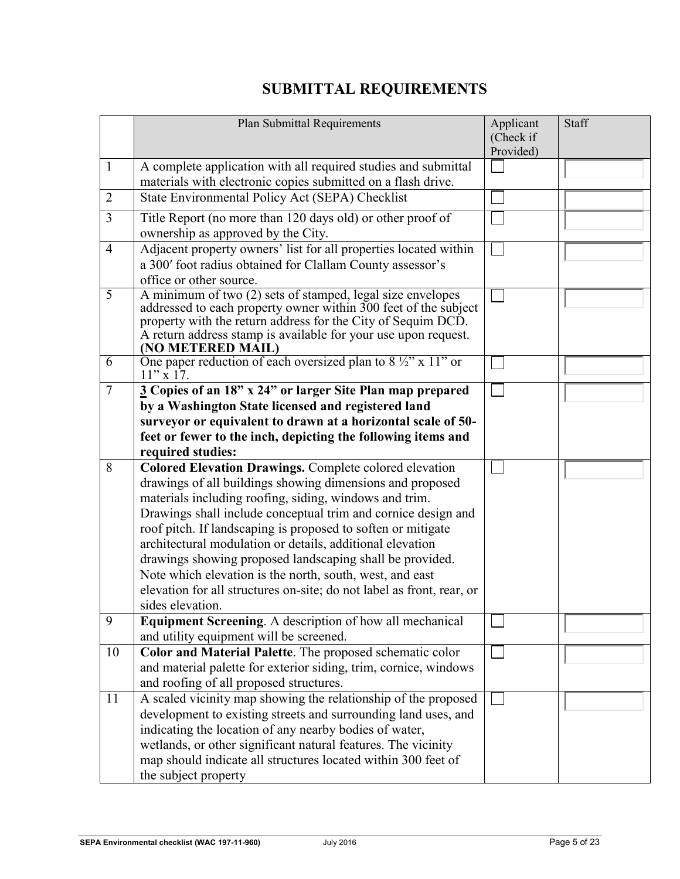# **SUBMITTAL REQUIREMENTS**

|                | <b>Plan Submittal Requirements</b>                                                                                 | Applicant<br>(Check if<br>Provided) | Staff |
|----------------|--------------------------------------------------------------------------------------------------------------------|-------------------------------------|-------|
| $\mathbf{1}$   | A complete application with all required studies and submittal                                                     |                                     |       |
|                | materials with electronic copies submitted on a flash drive.                                                       |                                     |       |
| $\overline{2}$ | State Environmental Policy Act (SEPA) Checklist                                                                    |                                     |       |
| 3              |                                                                                                                    |                                     |       |
|                | Title Report (no more than 120 days old) or other proof of                                                         |                                     |       |
|                | ownership as approved by the City.                                                                                 |                                     |       |
| $\overline{4}$ | Adjacent property owners' list for all properties located within                                                   |                                     |       |
|                | a 300' foot radius obtained for Clallam County assessor's<br>office or other source.                               |                                     |       |
| $\overline{5}$ | A minimum of two (2) sets of stamped, legal size envelopes                                                         |                                     |       |
|                | addressed to each property owner within 300 feet of the subject                                                    |                                     |       |
|                | property with the return address for the City of Sequim DCD.                                                       |                                     |       |
|                | A return address stamp is available for your use upon request.                                                     |                                     |       |
|                | (NO METERED MAIL)                                                                                                  |                                     |       |
| 6              | One paper reduction of each oversized plan to $8\frac{1}{2}$ " x 11" or                                            |                                     |       |
| $\overline{7}$ | $11$ " x 17.                                                                                                       |                                     |       |
|                | 3 Copies of an 18" x 24" or larger Site Plan map prepared                                                          |                                     |       |
|                | by a Washington State licensed and registered land<br>surveyor or equivalent to drawn at a horizontal scale of 50- |                                     |       |
|                | feet or fewer to the inch, depicting the following items and                                                       |                                     |       |
|                | required studies:                                                                                                  |                                     |       |
| 8              | Colored Elevation Drawings. Complete colored elevation                                                             |                                     |       |
|                | drawings of all buildings showing dimensions and proposed                                                          |                                     |       |
|                | materials including roofing, siding, windows and trim.                                                             |                                     |       |
|                | Drawings shall include conceptual trim and cornice design and                                                      |                                     |       |
|                | roof pitch. If landscaping is proposed to soften or mitigate                                                       |                                     |       |
|                | architectural modulation or details, additional elevation                                                          |                                     |       |
|                | drawings showing proposed landscaping shall be provided.                                                           |                                     |       |
|                | Note which elevation is the north, south, west, and east                                                           |                                     |       |
|                | elevation for all structures on-site; do not label as front, rear, or                                              |                                     |       |
|                | sides elevation.                                                                                                   |                                     |       |
| 9              | <b>Equipment Screening.</b> A description of how all mechanical                                                    |                                     |       |
|                | and utility equipment will be screened.                                                                            |                                     |       |
| 10             | Color and Material Palette. The proposed schematic color                                                           |                                     |       |
|                | and material palette for exterior siding, trim, cornice, windows                                                   |                                     |       |
|                | and roofing of all proposed structures.                                                                            |                                     |       |
| 11             | A scaled vicinity map showing the relationship of the proposed                                                     |                                     |       |
|                | development to existing streets and surrounding land uses, and                                                     |                                     |       |
|                | indicating the location of any nearby bodies of water,                                                             |                                     |       |
|                | wetlands, or other significant natural features. The vicinity                                                      |                                     |       |
|                | map should indicate all structures located within 300 feet of                                                      |                                     |       |
|                | the subject property                                                                                               |                                     |       |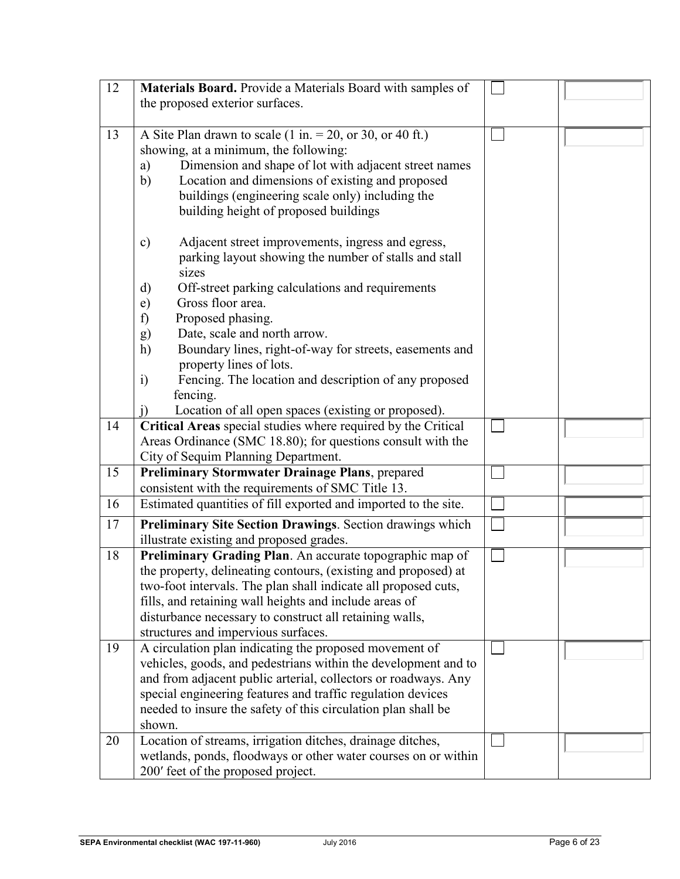| 12 | Materials Board. Provide a Materials Board with samples of                                                               |  |
|----|--------------------------------------------------------------------------------------------------------------------------|--|
|    | the proposed exterior surfaces.                                                                                          |  |
|    |                                                                                                                          |  |
| 13 | A Site Plan drawn to scale $(1 \text{ in.} = 20, \text{ or } 30, \text{ or } 40 \text{ ft.})$                            |  |
|    | showing, at a minimum, the following:                                                                                    |  |
|    | Dimension and shape of lot with adjacent street names<br>a)                                                              |  |
|    | Location and dimensions of existing and proposed<br>b)                                                                   |  |
|    | buildings (engineering scale only) including the                                                                         |  |
|    | building height of proposed buildings                                                                                    |  |
|    | Adjacent street improvements, ingress and egress,<br>$\mathbf{c})$                                                       |  |
|    | parking layout showing the number of stalls and stall                                                                    |  |
|    | sizes                                                                                                                    |  |
|    | Off-street parking calculations and requirements<br>$\mathbf{d}$                                                         |  |
|    | Gross floor area.<br>e)                                                                                                  |  |
|    | Proposed phasing.<br>f)                                                                                                  |  |
|    | Date, scale and north arrow.<br>g)                                                                                       |  |
|    | h)<br>Boundary lines, right-of-way for streets, easements and                                                            |  |
|    | property lines of lots.                                                                                                  |  |
|    | Fencing. The location and description of any proposed<br>$\ddot{1}$                                                      |  |
|    | fencing.                                                                                                                 |  |
|    | Location of all open spaces (existing or proposed).                                                                      |  |
| 14 | Critical Areas special studies where required by the Critical                                                            |  |
|    | Areas Ordinance (SMC 18.80); for questions consult with the                                                              |  |
|    | City of Sequim Planning Department.                                                                                      |  |
| 15 | Preliminary Stormwater Drainage Plans, prepared<br>consistent with the requirements of SMC Title 13.                     |  |
| 16 | Estimated quantities of fill exported and imported to the site.                                                          |  |
|    |                                                                                                                          |  |
| 17 | Preliminary Site Section Drawings. Section drawings which                                                                |  |
|    | illustrate existing and proposed grades.                                                                                 |  |
| 18 | Preliminary Grading Plan. An accurate topographic map of                                                                 |  |
|    | the property, delineating contours, (existing and proposed) at                                                           |  |
|    | two-foot intervals. The plan shall indicate all proposed cuts,                                                           |  |
|    | fills, and retaining wall heights and include areas of                                                                   |  |
|    | disturbance necessary to construct all retaining walls,                                                                  |  |
|    | structures and impervious surfaces.                                                                                      |  |
| 19 | A circulation plan indicating the proposed movement of<br>vehicles, goods, and pedestrians within the development and to |  |
|    | and from adjacent public arterial, collectors or roadways. Any                                                           |  |
|    | special engineering features and traffic regulation devices                                                              |  |
|    | needed to insure the safety of this circulation plan shall be                                                            |  |
|    | shown.                                                                                                                   |  |
| 20 | Location of streams, irrigation ditches, drainage ditches,                                                               |  |
|    | wetlands, ponds, floodways or other water courses on or within                                                           |  |
|    | 200' feet of the proposed project.                                                                                       |  |
|    |                                                                                                                          |  |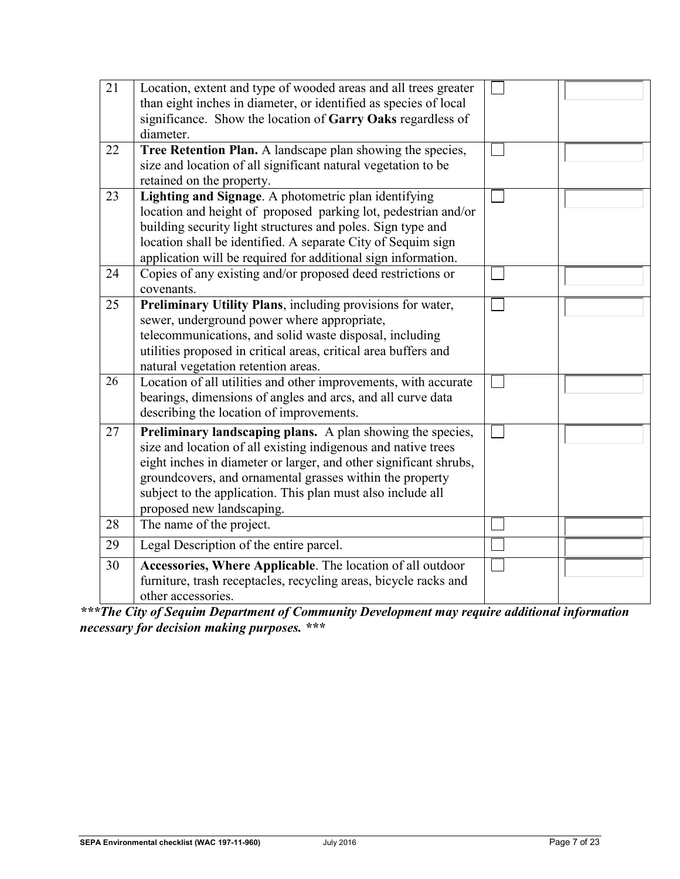| 21 | Location, extent and type of wooded areas and all trees greater<br>than eight inches in diameter, or identified as species of local<br>significance. Show the location of Garry Oaks regardless of<br>diameter.                                                                                                                                          |  |
|----|----------------------------------------------------------------------------------------------------------------------------------------------------------------------------------------------------------------------------------------------------------------------------------------------------------------------------------------------------------|--|
| 22 | Tree Retention Plan. A landscape plan showing the species,<br>size and location of all significant natural vegetation to be<br>retained on the property.                                                                                                                                                                                                 |  |
| 23 | Lighting and Signage. A photometric plan identifying<br>location and height of proposed parking lot, pedestrian and/or<br>building security light structures and poles. Sign type and<br>location shall be identified. A separate City of Sequim sign<br>application will be required for additional sign information.                                   |  |
| 24 | Copies of any existing and/or proposed deed restrictions or<br>covenants.                                                                                                                                                                                                                                                                                |  |
| 25 | Preliminary Utility Plans, including provisions for water,<br>sewer, underground power where appropriate,<br>telecommunications, and solid waste disposal, including<br>utilities proposed in critical areas, critical area buffers and<br>natural vegetation retention areas.                                                                           |  |
| 26 | Location of all utilities and other improvements, with accurate<br>bearings, dimensions of angles and arcs, and all curve data<br>describing the location of improvements.                                                                                                                                                                               |  |
| 27 | Preliminary landscaping plans. A plan showing the species,<br>size and location of all existing indigenous and native trees<br>eight inches in diameter or larger, and other significant shrubs,<br>groundcovers, and ornamental grasses within the property<br>subject to the application. This plan must also include all<br>proposed new landscaping. |  |
| 28 | The name of the project.                                                                                                                                                                                                                                                                                                                                 |  |
| 29 | Legal Description of the entire parcel.                                                                                                                                                                                                                                                                                                                  |  |
| 30 | Accessories, Where Applicable. The location of all outdoor<br>furniture, trash receptacles, recycling areas, bicycle racks and<br>other accessories.                                                                                                                                                                                                     |  |

*\*\*\*The City of Sequim Department of Community Development may require additional information necessary for decision making purposes. \*\*\**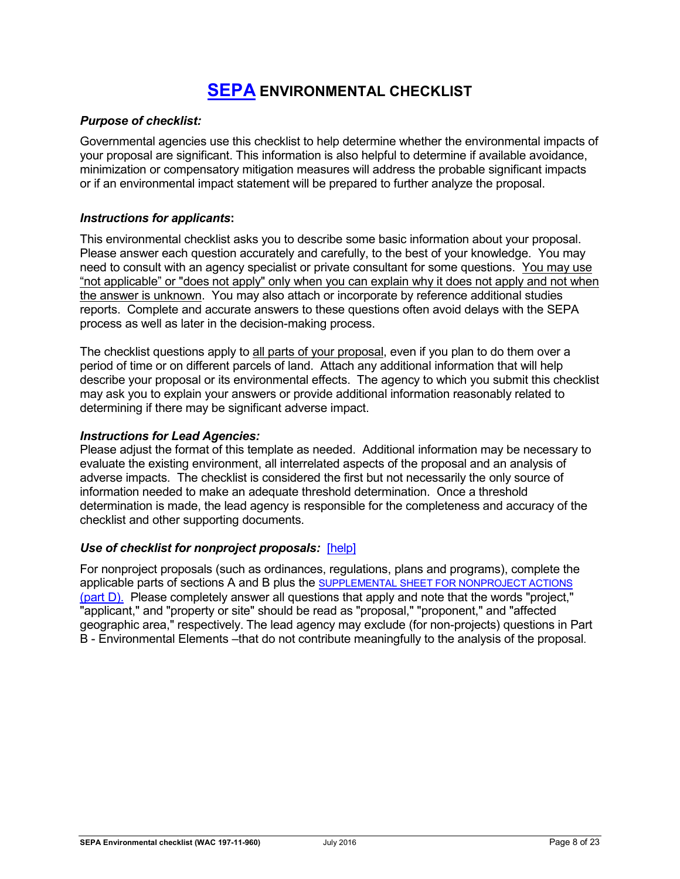## **SEPA ENVIRONMENTAL CHECKLIST**

#### *Purpose of checklist:*

Governmental agencies use this checklist to help determine whether the environmental impacts of your proposal are significant. This information is also helpful to determine if available avoidance, minimization or compensatory mitigation measures will address the probable significant impacts or if an environmental impact statement will be prepared to further analyze the proposal.

#### *Instructions for applicants***:**

This environmental checklist asks you to describe some basic information about your proposal. Please answer each question accurately and carefully, to the best of your knowledge. You may need to consult with an agency specialist or private consultant for some questions. You may use "not applicable" or "does not apply" only when you can explain why it does not apply and not when the answer is unknown. You may also attach or incorporate by reference additional studies reports. Complete and accurate answers to these questions often avoid delays with the SEPA process as well as later in the decision-making process.

The checklist questions apply to all parts of your proposal, even if you plan to do them over a period of time or on different parcels of land. Attach any additional information that will help describe your proposal or its environmental effects. The agency to which you submit this checklist may ask you to explain your answers or provide additional information reasonably related to determining if there may be significant adverse impact.

#### *Instructions for Lead Agencies:*

Please adjust the format of this template as needed. Additional information may be necessary to evaluate the existing environment, all interrelated aspects of the proposal and an analysis of adverse impacts. The checklist is considered the first but not necessarily the only source of information needed to make an adequate threshold determination. Once a threshold determination is made, the lead agency is responsible for the completeness and accuracy of the checklist and other supporting documents.

#### *Use of checklist for nonproject proposals:* [help]

For nonproject proposals (such as ordinances, regulations, plans and programs), complete the applicable parts of sections A and B plus the SUPPLEMENTAL SHEET FOR NONPROJECT ACTIONS (part D). Please completely answer all questions that apply and note that the words "project," "applicant," and "property or site" should be read as "proposal," "proponent," and "affected geographic area," respectively. The lead agency may exclude (for non-projects) questions in Part B - Environmental Elements -- that do not contribute meaningfully to the analysis of the proposal.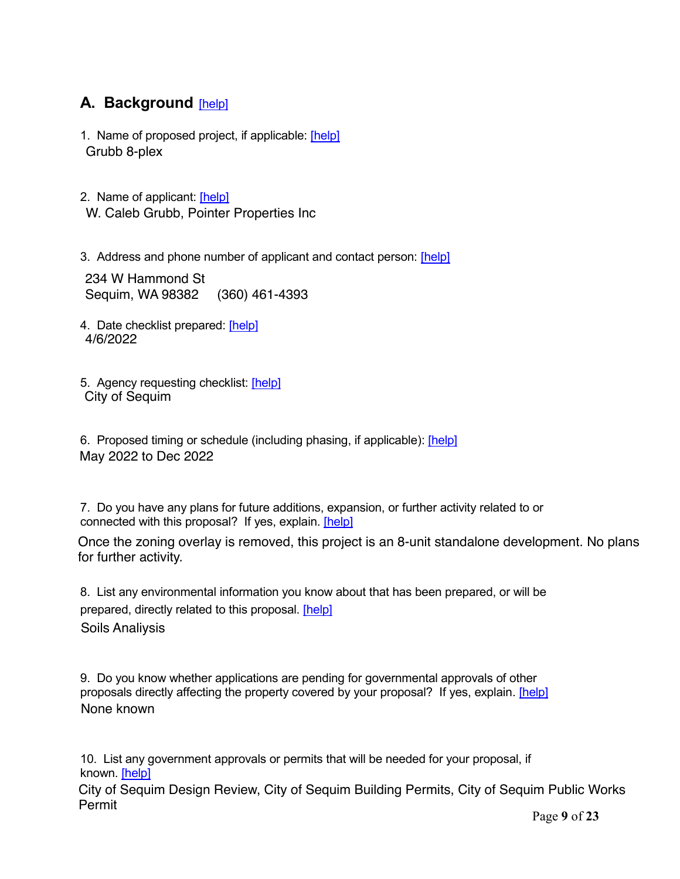## **A. Background** [help]

- 1. Name of proposed project, if applicable: [help] Grubb 8-plex
- 2. Name of applicant: [help] W. Caleb Grubb, Pointer Properties Inc
- 3. Address and phone number of applicant and contact person: [help]

234 W Hammond St Sequim, WA 98382 (360) 461-4393

- 4. Date checklist prepared: [help] 4/6/2022
- 5. Agency requesting checklist: [help] City of Sequim

6. Proposed timing or schedule (including phasing, if applicable): [help] May 2022 to Dec 2022

7. Do you have any plans for future additions, expansion, or further activity related to or connected with this proposal? If yes, explain. [help]

Once the zoning overlay is removed, this project is an 8-unit standalone development. No plans for further activity.

8. List any environmental information you know about that has been prepared, or will be prepared, directly related to this proposal. [help] Soils Analiysis

9. Do you know whether applications are pending for governmental approvals of other proposals directly affecting the property covered by your proposal? If yes, explain. [help] None known

10. List any government approvals or permits that will be needed for your proposal, if known. [help]

City of Sequim Design Review, City of Sequim Building Permits, City of Sequim Public Works Permit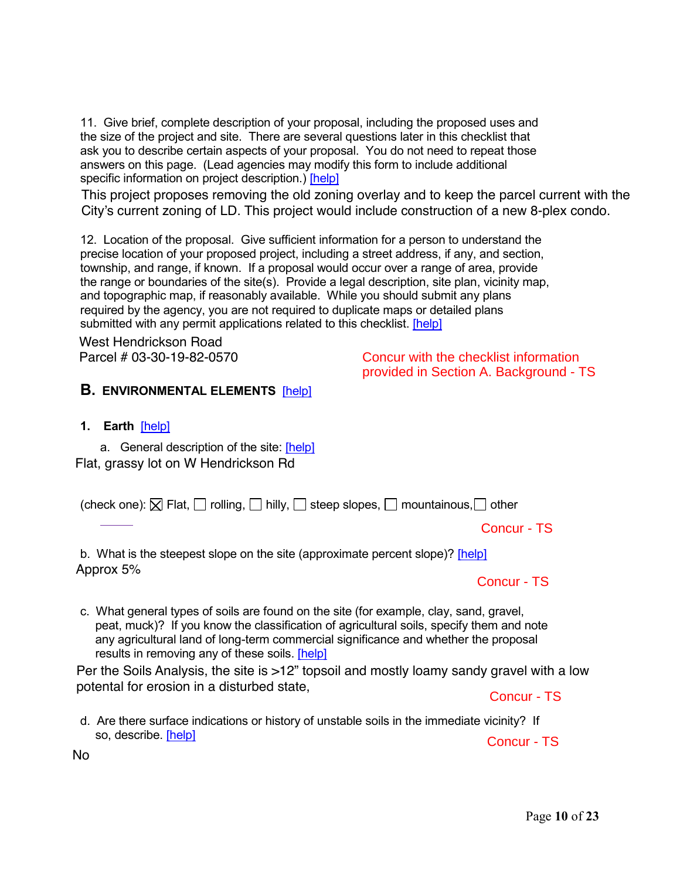11. Give brief, complete description of your proposal, including the proposed uses and the size of the project and site. There are several questions later in this checklist that ask you to describe certain aspects of your proposal. You do not need to repeat those answers on this page. (Lead agencies may modify this form to include additional specific information on project description.) [help]

This project proposes removing the old zoning overlay and to keep the parcel current with the City's current zoning of LD. This project would include construction of a new 8-plex condo.

12. Location of the proposal. Give sufficient information for a person to understand the precise location of your proposed project, including a street address, if any, and section, township, and range, if known. If a proposal would occur over a range of area, provide the range or boundaries of the site(s). Provide a legal description, site plan, vicinity map, and topographic map, if reasonably available. While you should submit any plans required by the agency, you are not required to duplicate maps or detailed plans submitted with any permit applications related to this checklist. [help]

West Hendrickson Road Parcel # 03-30-19-82-0570

Concur with the checklist information provided in Section A. Background - TS

## **B. ENVIRONMENTAL ELEMENTS** [help]

**1. Earth** [help]

a. General description of the site: [help] Flat, grassy lot on W Hendrickson Rd

(check one):  $\boxtimes$  Flat,  $\Box$  rolling,  $\Box$  hilly,  $\Box$  steep slopes,  $\Box$  mountainous,  $\Box$  other

Concur - TS

b. What is the steepest slope on the site (approximate percent slope)? [help] Approx 5%

### Concur - TS

c. What general types of soils are found on the site (for example, clay, sand, gravel, peat, muck)? If you know the classification of agricultural soils, specify them and note any agricultural land of long-term commercial significance and whether the proposal results in removing any of these soils. [help]

Per the Soils Analysis, the site is >12" topsoil and mostly loamy sandy gravel with a low potental for erosion in a disturbed state,

Concur - TS

d. Are there surface indications or history of unstable soils in the immediate vicinity? If so, describe. [help] Concur - TS

No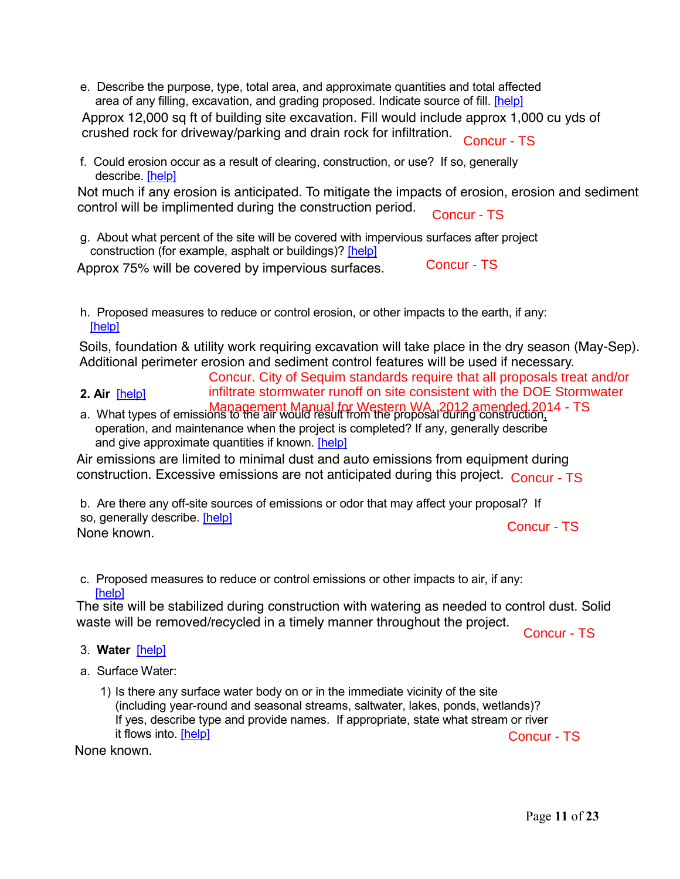e. Describe the purpose, type, total area, and approximate quantities and total affected area of any filling, excavation, and grading proposed. Indicate source of fill. [help]

Approx 12,000 sq ft of building site excavation. Fill would include approx 1,000 cu yds of crushed rock for driveway/parking and drain rock for infiltration. Concur - TS

f. Could erosion occur as a result of clearing, construction, or use? If so, generally describe. [help]

Not much if any erosion is anticipated. To mitigate the impacts of erosion, erosion and sediment control will be implimented during the construction period. Concur - TS

g. About what percent of the site will be covered with impervious surfaces after project construction (for example, asphalt or buildings)? [help]

Approx 75% will be covered by impervious surfaces. Concur - TS

h. Proposed measures to reduce or control erosion, or other impacts to the earth, if any: [help]

Soils, foundation & utility work requiring excavation will take place in the dry season (May-Sep). Additional perimeter erosion and sediment control features will be used if necessary.

> Concur. City of Sequim standards require that all proposals treat and/or infiltrate stormwater runoff on site consistent with the DOE Stormwater

a. What types of emissions to the air would result from the proposal during construction,  $\overline{1}$  - TS operation, and maintenance when the project is completed? If any, generally describe and give approximate quantities if known. [help]

Air emissions are limited to minimal dust and auto emissions from equipment during construction. Excessive emissions are not anticipated during this project. Concur - TS

b. Are there any off-site sources of emissions or odor that may affect your proposal? If so, generally describe. [help] None known. Concur - TS

c. Proposed measures to reduce or control emissions or other impacts to air, if any: [help]

The site will be stabilized during construction with watering as needed to control dust. Solid waste will be removed/recycled in a timely manner throughout the project.

Concur - TS

3. **Water** [help]

**2. Air** [help]

- a. Surface Water:
	- 1) Is there any surface water body on or in the immediate vicinity of the site (including year-round and seasonal streams, saltwater, lakes, ponds, wetlands)? If yes, describe type and provide names. If appropriate, state what stream or river it flows into. [help] Concur - TS

None known.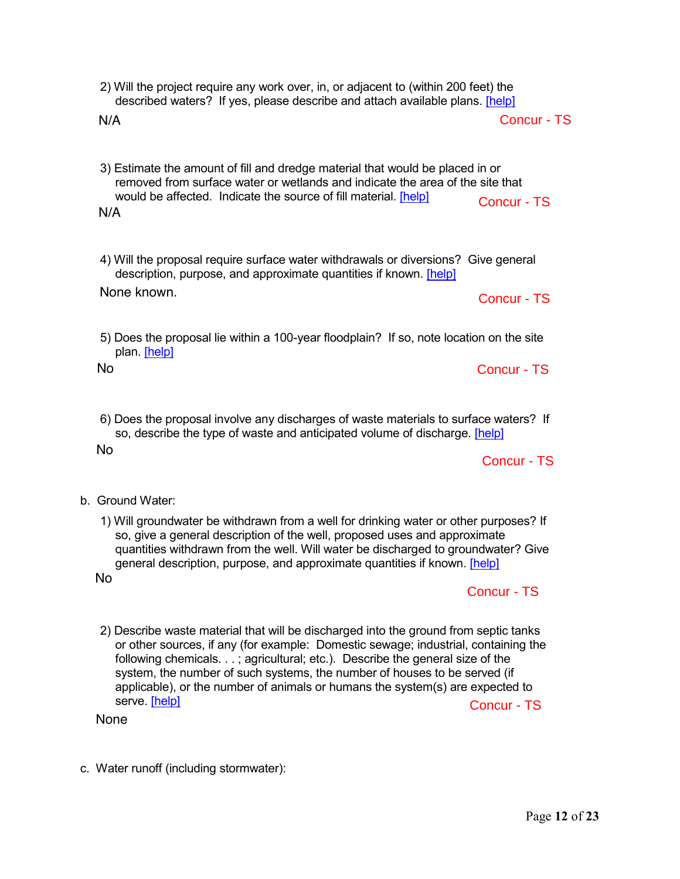2) Will the project require any work over, in, or adjacent to (within 200 feet) the described waters? If yes, please describe and attach available plans. [help]

N/A

- 3) Estimate the amount of fill and dredge material that would be placed in or removed from surface water or wetlands and indicate the area of the site that would be affected. Indicate the source of fill material. **[help]** N/A Concur - TS
- 4) Will the proposal require surface water withdrawals or diversions? Give general description, purpose, and approximate quantities if known. [help] None known.
- 5) Does the proposal lie within a 100-year floodplain? If so, note location on the site plan. [help]
- 6) Does the proposal involve any discharges of waste materials to surface waters? If so, describe the type of waste and anticipated volume of discharge. [help] No

Concur - TS

- b. Ground Water:
	- 1) Will groundwater be withdrawn from a well for drinking water or other purposes? If so, give a general description of the well, proposed uses and approximate quantities withdrawn from the well. Will water be discharged to groundwater? Give general description, purpose, and approximate quantities if known. [help]

No

No

Concur - TS

2) Describe waste material that will be discharged into the ground from septic tanks or other sources, if any (for example: Domestic sewage; industrial, containing the following chemicals. . . ; agricultural; etc.). Describe the general size of the system, the number of such systems, the number of houses to be served (if applicable), or the number of animals or humans the system(s) are expected to serve. [help] Concur - TS

None

c. Water runoff (including stormwater):

Concur - TS

Concur - TS

Concur - TS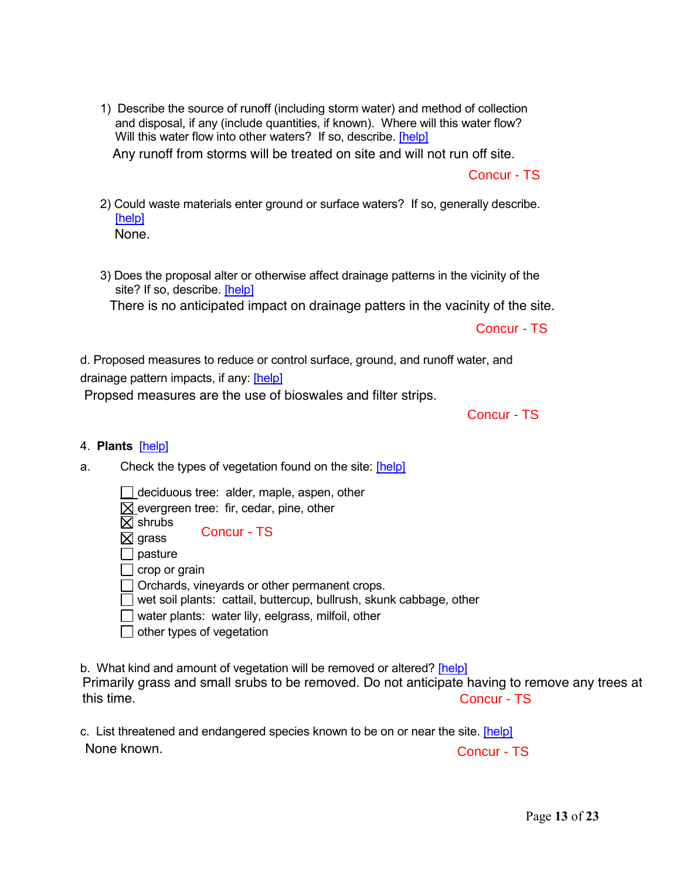1) Describe the source of runoff (including storm water) and method of collection and disposal, if any (include quantities, if known). Where will this water flow? Will this water flow into other waters? If so, describe. [help] Any runoff from storms will be treated on site and will not run off site.

#### Concur - TS

- 2) Could waste materials enter ground or surface waters? If so, generally describe. [help]
	- None.
- 3) Does the proposal alter or otherwise affect drainage patterns in the vicinity of the site? If so, describe. [help]

There is no anticipated impact on drainage patters in the vacinity of the site.

Concur - TS

d. Proposed measures to reduce or control surface, ground, and runoff water, and drainage pattern impacts, if any: [help]

Propsed measures are the use of bioswales and filter strips.

Concur - TS

#### 4. **Plants** [help]

a. Check the types of vegetation found on the site: [help]

 $\Box$  deciduous tree: alder, maple, aspen, other  $\boxtimes$  evergreen tree: fir, cedar, pine, other  $\times$  shrubs  $\boxtimes$  grass  $\Box$  pasture  $\Box$  crop or grain Orchards, vineyards or other permanent crops.  $\Box$  wet soil plants: cattail, buttercup, bullrush, skunk cabbage, other  $\Box$  water plants: water lily, eelgrass, milfoil, other  $\Box$  other types of vegetation Concur - TS

b. What kind and amount of vegetation will be removed or altered? [help] Primarily grass and small srubs to be removed. Do not anticipate having to remove any trees at this time. Concur - TS

c. List threatened and endangered species known to be on or near the site. [help] None known. Concur - TS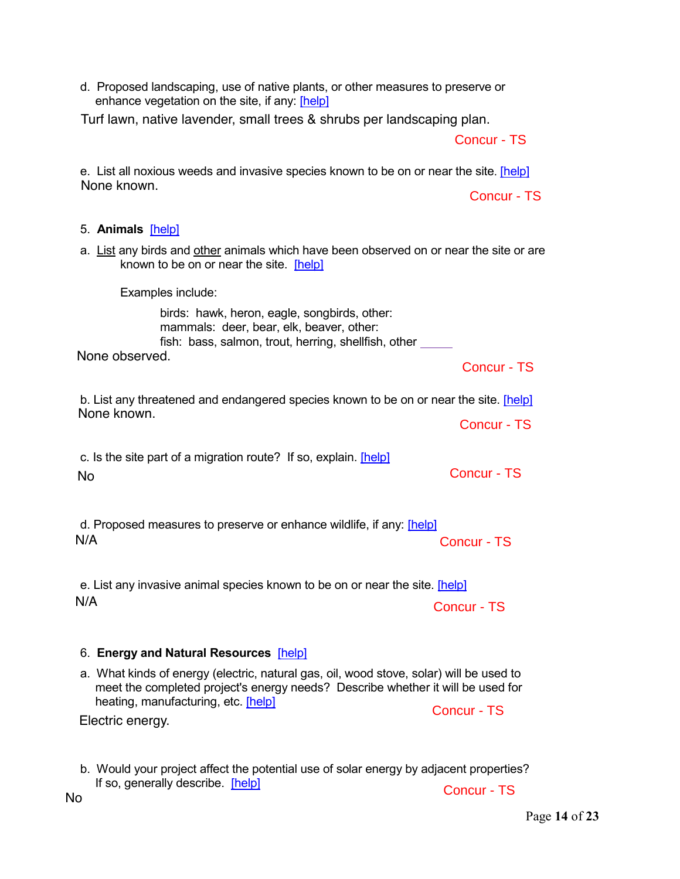d. Proposed landscaping, use of native plants, or other measures to preserve or enhance vegetation on the site, if any: [help]

Turf lawn, native lavender, small trees & shrubs per landscaping plan.

Concur - TS

Concur - TS

Concur - TS

e. List all noxious weeds and invasive species known to be on or near the site. [help] None known. Concur - TS

#### 5. **Animals** [help]

a. List any birds and other animals which have been observed on or near the site or are known to be on or near the site. [help]

Examples include:

birds: hawk, heron, eagle, songbirds, other: mammals: deer, bear, elk, beaver, other: fish: bass, salmon, trout, herring, shellfish, other

None observed.

b. List any threatened and endangered species known to be on or near the site. [help] None known. Concur - TS

c. Is the site part of a migration route? If so, explain. [help] No

d. Proposed measures to preserve or enhance wildlife, if any: [help] N/A Concur - TS

e. List any invasive animal species known to be on or near the site. [help] N/A Concur - TS

#### 6. **Energy and Natural Resources** [help]

a. What kinds of energy (electric, natural gas, oil, wood stove, solar) will be used to meet the completed project's energy needs? Describe whether it will be used for heating, manufacturing, etc. [help]

Electric energy.

Concur - TS

b. Would your project affect the potential use of solar energy by adjacent properties? If so, generally describe. [help] Concur - TS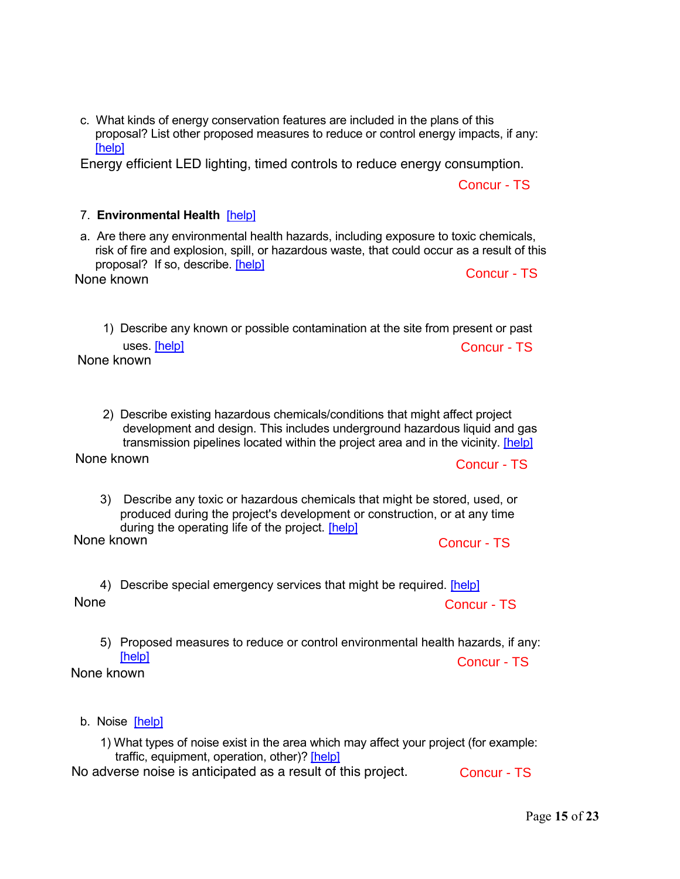c. What kinds of energy conservation features are included in the plans of this proposal? List other proposed measures to reduce or control energy impacts, if any: [help]

Energy efficient LED lighting, timed controls to reduce energy consumption.

Concur - TS

#### 7. **Environmental Health** [help]

a. Are there any environmental health hazards, including exposure to toxic chemicals, risk of fire and explosion, spill, or hazardous waste, that could occur as a result of this proposal? If so, describe. [help]

None known

Concur - TS

- 1) Describe any known or possible contamination at the site from present or past uses. [help] None known Concur - TS
	- 2) Describe existing hazardous chemicals/conditions that might affect project development and design. This includes underground hazardous liquid and gas transmission pipelines located within the project area and in the vicinity. [help]

None known

Concur - TS

3) Describe any toxic or hazardous chemicals that might be stored, used, or produced during the project's development or construction, or at any time during the operating life of the project. [help] None known

Concur - TS

4) Describe special emergency services that might be required. [help] None Concur - TS

- 5) Proposed measures to reduce or control environmental health hazards, if any: [help] Concur - TS
- None known
	- b.Noise [help]

1) What types of noise exist in the area which may affect your project (for example: traffic, equipment, operation, other)? [help]

No adverse noise is anticipated as a result of this project. Concur - TS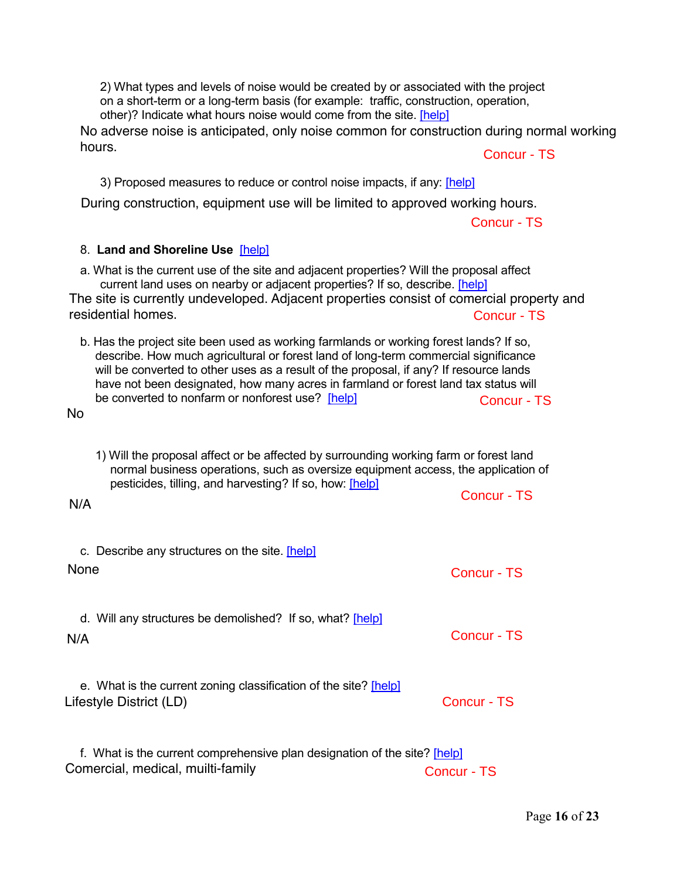2) What types and levels of noise would be created by or associated with the project on a short-term or a long-term basis (for example: traffic, construction, operation, other)? Indicate what hours noise would come from the site. [help]

No adverse noise is anticipated, only noise common for construction during normal working hours.

Concur - TS

3) Proposed measures to reduce or control noise impacts, if any: [help]

During construction, equipment use will be limited to approved working hours.

Concur - TS

#### 8. **Land and Shoreline Use** [help]

a. What is the current use of the site and adjacent properties? Will the proposal affect current land uses on nearby or adjacent properties? If so, describe. [help]

The site is currently undeveloped. Adjacent properties consist of comercial property and residential homes. Concur - TS

b. Has the project site been used as working farmlands or working forest lands? If so, describe. How much agricultural or forest land of long-term commercial significance will be converted to other uses as a result of the proposal, if any? If resource lands have not been designated, how many acres in farmland or forest land tax status will be converted to nonfarm or nonforest use? [help] Concur - TS

No

1) Will the proposal affect or be affected by surrounding working farm or forest land normal business operations, such as oversize equipment access, the application of pesticides, tilling, and harvesting? If so, how: [help] Concur - TS

c. Describe any structures on the site. [help] d. Will any structures be demolished? If so, what? [help] e. What is the current zoning classification of the site? [help] N/A None N/A Lifestyle District (LD) Concur - TS Concur - TS Concur - TS

f. What is the current comprehensive plan designation of the site? [help] Comercial, medical, muilti-family Concur - TS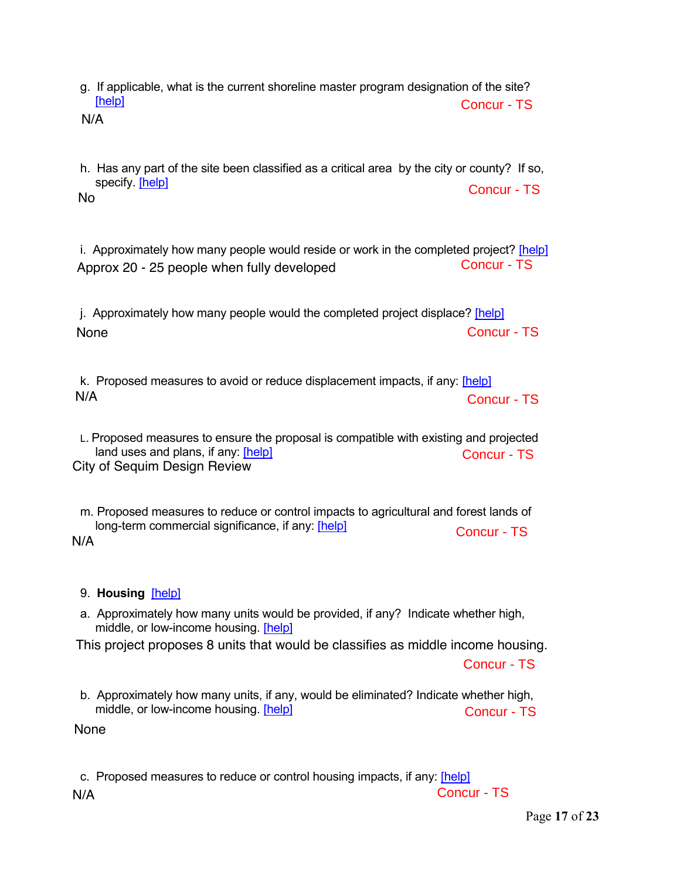g. If applicable, what is the current shoreline master program designation of the site? [help] Concur - TS

N/A

h. Has any part of the site been classified as a critical area by the city or county? If so, specify. [help] No Concur - TS

i. Approximately how many people would reside or work in the completed project? [help] Approx 20 - 25 people when fully developed Concur - TS

j. Approximately how many people would the completed project displace? [help] None Concur - TS

k. Proposed measures to avoid or reduce displacement impacts, if any: [help] N/A Concur - TS

- L. Proposed measures to ensure the proposal is compatible with existing and projected land uses and plans, if any: [help] City of Sequim Design Review Concur - TS
- m. Proposed measures to reduce or control impacts to agricultural and forest lands of long-term commercial significance, if any: [help] Concur - TS

N/A

9. **Housing** [help]

a. Approximately how many units would be provided, if any? Indicate whether high, middle, or low-income housing. [help]

This project proposes 8 units that would be classifies as middle income housing.

Concur - TS

Concur - TS

b. Approximately how many units, if any, would be eliminated? Indicate whether high, middle, or low-income housing. [help] Concur - TS

None

c. Proposed measures to reduce or control housing impacts, if any: [help]

N/A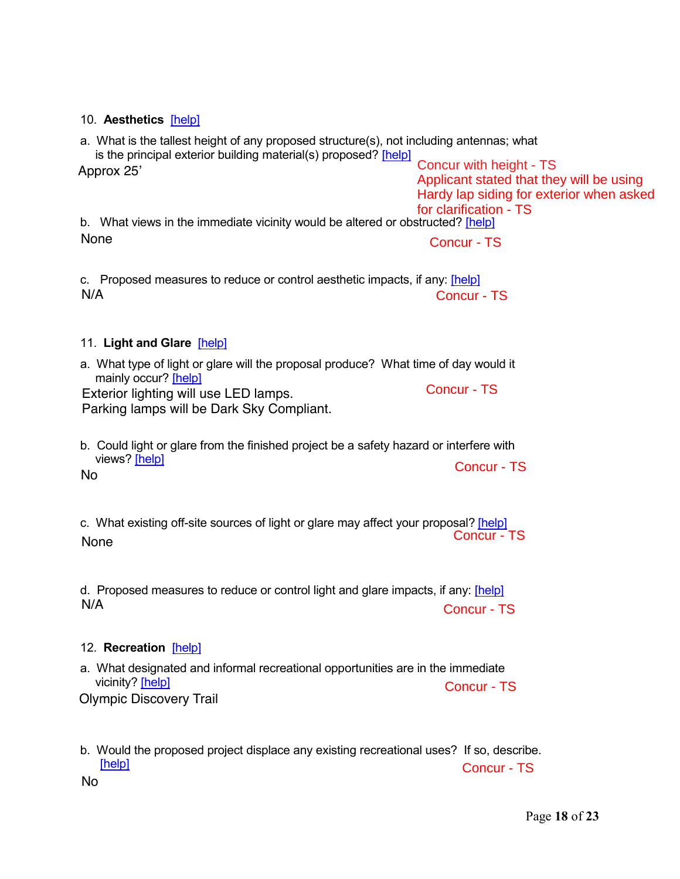#### 10. **Aesthetics** [help]

a. What is the tallest height of any proposed structure(s), not including antennas; what is the principal exterior building material(s) proposed? [help] Approx 25' Concur with height - TS

Applicant stated that they will be using Hardy lap siding for exterior when asked for clarification - TS

b. What views in the immediate vicinity would be altered or obstructed? [help] None Concur - TS

c. Proposed measures to reduce or control aesthetic impacts, if any: [help] N/A Concur - TS

#### 11. **Light and Glare** [help]

a. What type of light or glare will the proposal produce? What time of day would it mainly occur? [help] Concur - TS

Exterior lighting will use LED lamps. Parking lamps will be Dark Sky Compliant.

b. Could light or glare from the finished project be a safety hazard or interfere with views? [help] No Concur - TS

c. What existing off-site sources of light or glare may affect your proposal? [help] None Concur - TS

d. Proposed measures to reduce or control light and glare impacts, if any: [help] N/A Concur - TS

#### 12. **Recreation** [help]

a. What designated and informal recreational opportunities are in the immediate vicinity? [help] Concur - TS

Olympic Discovery Trail

b. Would the proposed project displace any existing recreational uses? If so, describe. [help] Concur - TS

No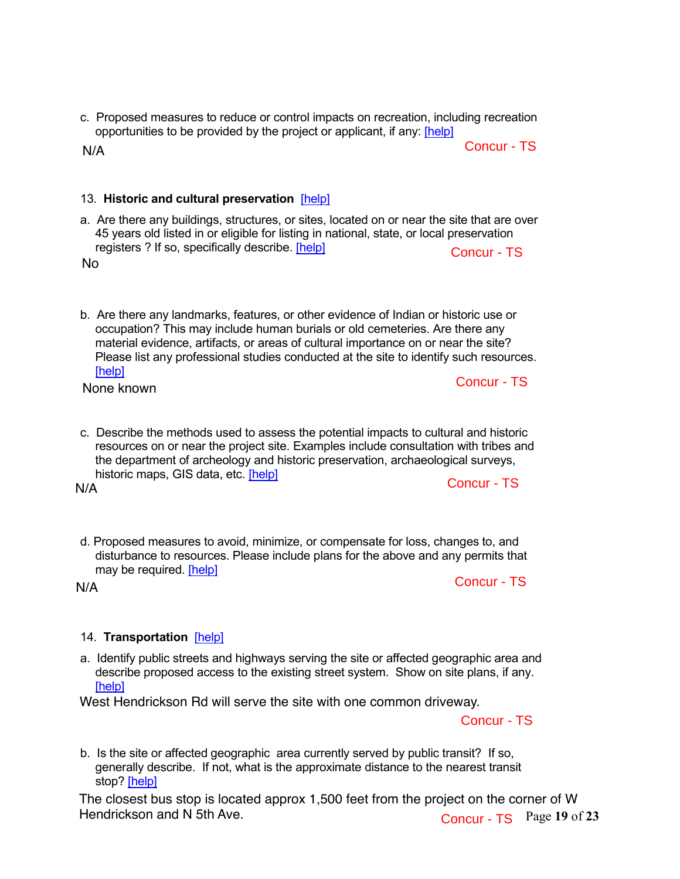c. Proposed measures to reduce or control impacts on recreation, including recreation opportunities to be provided by the project or applicant, if any: [help]

N/A

Concur - TS

#### 13. **Historic and cultural preservation** [help]

a. Are there any buildings, structures, or sites, located on or near the site that are over 45 years old listed in or eligible for listing in national, state, or local preservation registers ? If so, specifically describe. [help] Concur - TS

No

b. Are there any landmarks, features, or other evidence of Indian or historic use or occupation? This may include human burials or old cemeteries. Are there any material evidence, artifacts, or areas of cultural importance on or near the site? Please list any professional studies conducted at the site to identify such resources. [help] Concur - TS

None known

c. Describe the methods used to assess the potential impacts to cultural and historic resources on or near the project site. Examples include consultation with tribes and the department of archeology and historic preservation, archaeological surveys,

historic maps, GIS data, etc. [help] N/A Concur - TS

d. Proposed measures to avoid, minimize, or compensate for loss, changes to, and disturbance to resources. Please include plans for the above and any permits that may be required. [help]

N/A

Concur - TS

## 14. **Transportation** [help]

a. Identify public streets and highways serving the site or affected geographic area and describe proposed access to the existing street system. Show on site plans, if any. [help]

West Hendrickson Rd will serve the site with one common driveway.

## Concur - TS

b. Is the site or affected geographic area currently served by public transit? If so, generally describe. If not, what is the approximate distance to the nearest transit stop? [help]

Page **19** of **23** Concur - TSThe closest bus stop is located approx 1,500 feet from the project on the corner of W Hendrickson and N 5th Ave.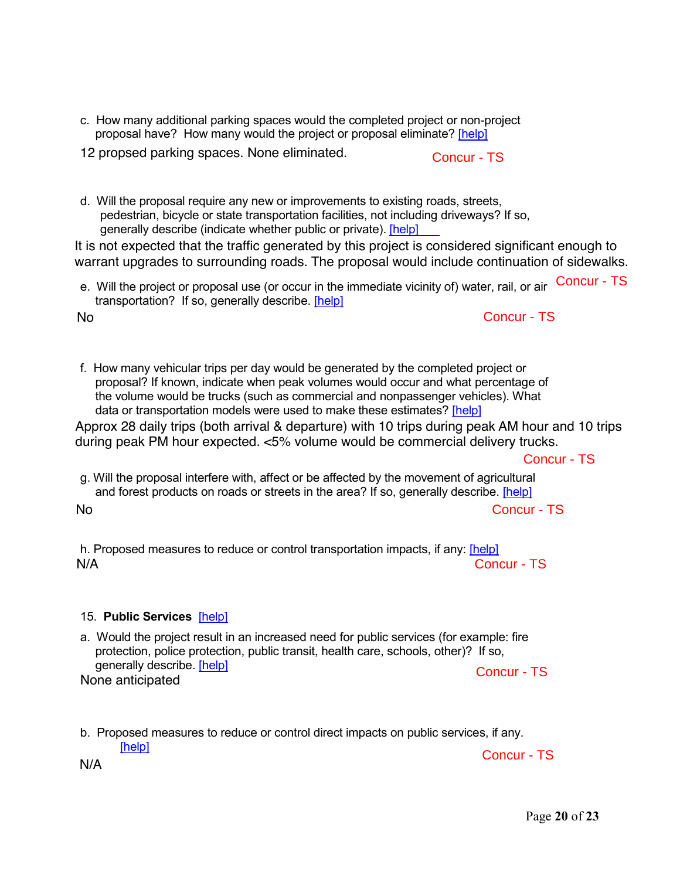- c. How many additional parking spaces would the completed project or non-project proposal have? How many would the project or proposal eliminate? [help]
- 12 propsed parking spaces. None eliminated. Concur - TS
- d. Will the proposal require any new or improvements to existing roads, streets, pedestrian, bicycle or state transportation facilities, not including driveways? If so, generally describe (indicate whether public or private). [help]

It is not expected that the traffic generated by this project is considered significant enough to warrant upgrades to surrounding roads. The proposal would include continuation of sidewalks.

e. Will the project or proposal use (or occur in the immediate vicinity of) water, rail, or air Concur - TS transportation? If so, generally describe. [help]

Concur - TS

f. How many vehicular trips per day would be generated by the completed project or proposal? If known, indicate when peak volumes would occur and what percentage of the volume would be trucks (such as commercial and nonpassenger vehicles). What data or transportation models were used to make these estimates? [help]

Approx 28 daily trips (both arrival & departure) with 10 trips during peak AM hour and 10 trips during peak PM hour expected. <5% volume would be commercial delivery trucks.

Concur - TS

g. Will the proposal interfere with, affect or be affected by the movement of agricultural and forest products on roads or streets in the area? If so, generally describe. [help]

Concur - TS

h. Proposed measures to reduce or control transportation impacts, if any: [help] N/A Concur - TS

### 15. **Public Services** [help]

- a. Would the project result in an increased need for public services (for example: fire protection, police protection, public transit, health care, schools, other)? If so, generally describe. [help] None anticipated Concur - TS
- b. Proposed measures to reduce or control direct impacts on public services, if any. [help] Concur - TS

N/A

No

No

Page **20** of **23**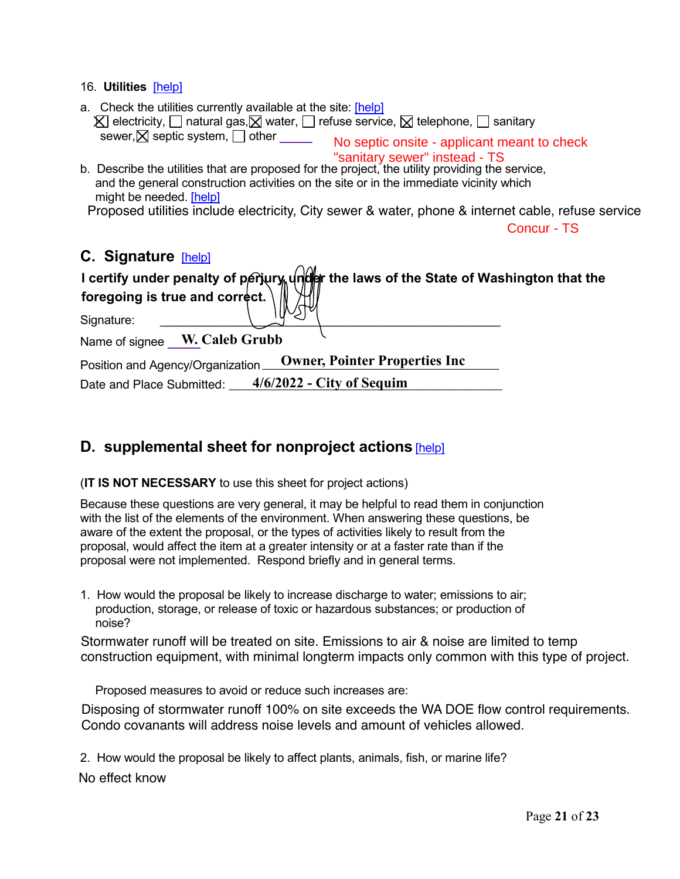#### 16. **Utilities** [help]

a. Check the utilities currently available at the site: [help]  $\chi$  electricity,  $\Box$  natural gas,  $\chi$  water,  $\Box$  refuse service,  $\chi$  telephone,  $\Box$  sanitary sewer,  $\boxtimes$  septic system,  $\Box$  other  $\Box$ 

"sanitary sewer" instead - TS

b. Describe the utilities that are proposed for the project, the utility providing the service, and the general construction activities on the site or in the immediate vicinity which might be needed. [help] No septic onsite - applicant meant to check<br>
"sanitary sewer" instead - TS<br>
e project, the utility providing the service,<br>
site or in the immediate vicinity which<br>
sewer & water, phone & internet cable, refuse<br>
Concur - TS

 $\sim$   $\sim$ 

Proposed utilities include electricity, City sewer & water, phone & internet cable, refuse service

## **C. Signature** [help]

| I certify under penalty of periury under the laws of the State of Washington that the foregoing is true and correct. $\ \ \ $<br>foregoing is true and correct. $\setminus$ |  |  |  |  |  |
|-----------------------------------------------------------------------------------------------------------------------------------------------------------------------------|--|--|--|--|--|
| Signature:                                                                                                                                                                  |  |  |  |  |  |
| W. Caleb Grubb<br>Name of signee                                                                                                                                            |  |  |  |  |  |
| <b>Owner, Pointer Properties Inc.</b><br>Position and Agency/Organization                                                                                                   |  |  |  |  |  |
| $4/6/2022$ - City of Sequim<br>Date and Place Submitted:                                                                                                                    |  |  |  |  |  |

## **D. supplemental sheet for nonproject actions** [help]

#### (**IT IS NOT NECESSARY** to use this sheet for project actions)

Because these questions are very general, it may be helpful to read them in conjunction with the list of the elements of the environment. When answering these questions, be aware of the extent the proposal, or the types of activities likely to result from the proposal, would affect the item at a greater intensity or at a faster rate than if the proposal were not implemented. Respond briefly and in general terms.

1. How would the proposal be likely to increase discharge to water; emissions to air; production, storage, or release of toxic or hazardous substances; or production of noise?

Stormwater runoff will be treated on site. Emissions to air & noise are limited to temp construction equipment, with minimal longterm impacts only common with this type of project.

Proposed measures to avoid or reduce such increases are:

Disposing of stormwater runoff 100% on site exceeds the WA DOE flow control requirements. Condo covanants will address noise levels and amount of vehicles allowed.

2. How would the proposal be likely to affect plants, animals, fish, or marine life?

No effect know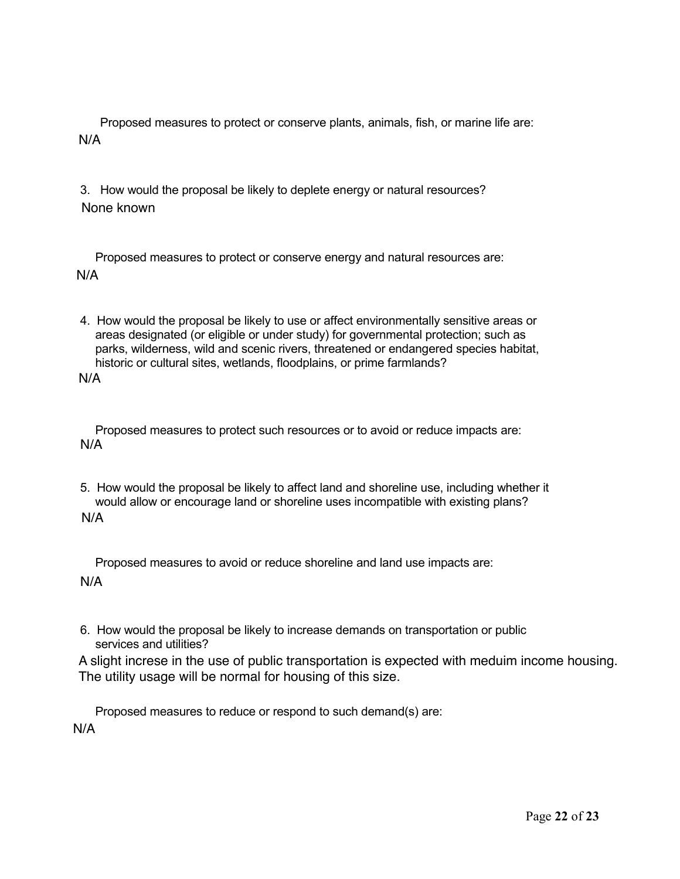Proposed measures to protect or conserve plants, animals, fish, or marine life are: N/A

3. How would the proposal be likely to deplete energy or natural resources? None known

Proposed measures to protect or conserve energy and natural resources are: N/A

4. How would the proposal be likely to use or affect environmentally sensitive areas or areas designated (or eligible or under study) for governmental protection; such as parks, wilderness, wild and scenic rivers, threatened or endangered species habitat, historic or cultural sites, wetlands, floodplains, or prime farmlands?

N/A

Proposed measures to protect such resources or to avoid or reduce impacts are: N/A

5. How would the proposal be likely to affect land and shoreline use, including whether it would allow or encourage land or shoreline uses incompatible with existing plans? N/A

Proposed measures to avoid or reduce shoreline and land use impacts are: N/A

6. How would the proposal be likely to increase demands on transportation or public services and utilities?

A slight increse in the use of public transportation is expected with meduim income housing. The utility usage will be normal for housing of this size.

Proposed measures to reduce or respond to such demand(s) are:

N/A